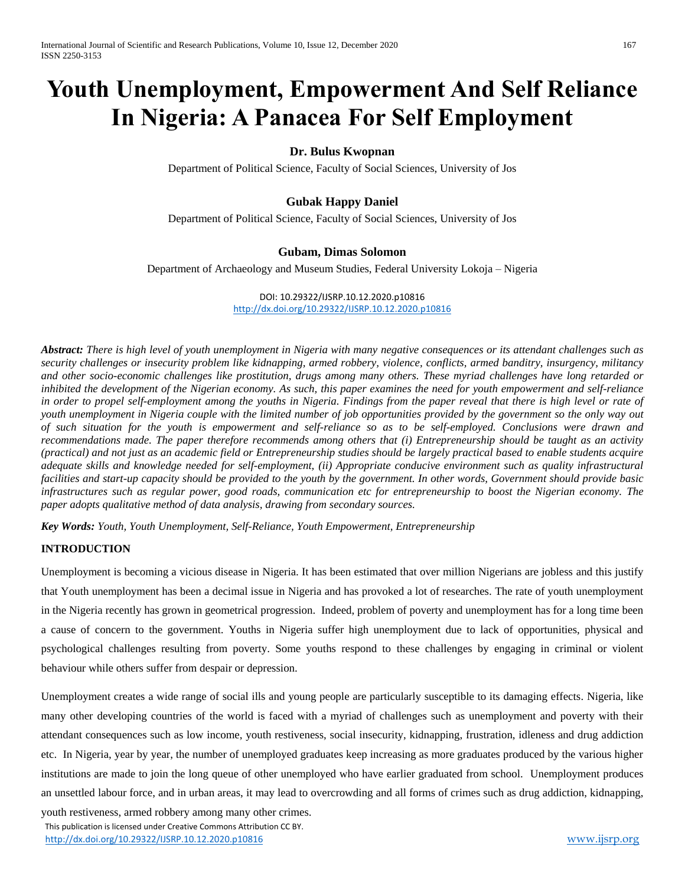# **Youth Unemployment, Empowerment And Self Reliance In Nigeria: A Panacea For Self Employment**

## **Dr. Bulus Kwopnan**

Department of Political Science, Faculty of Social Sciences, University of Jos

#### **Gubak Happy Daniel**

Department of Political Science, Faculty of Social Sciences, University of Jos

#### **Gubam, Dimas Solomon**

Department of Archaeology and Museum Studies, Federal University Lokoja – Nigeria

DOI: 10.29322/IJSRP.10.12.2020.p10816 <http://dx.doi.org/10.29322/IJSRP.10.12.2020.p10816>

*Abstract: There is high level of youth unemployment in Nigeria with many negative consequences or its attendant challenges such as security challenges or insecurity problem like kidnapping, armed robbery, violence, conflicts, armed banditry, insurgency, militancy and other socio-economic challenges like prostitution, drugs among many others. These myriad challenges have long retarded or inhibited the development of the Nigerian economy. As such, this paper examines the need for youth empowerment and self-reliance in order to propel self-employment among the youths in Nigeria. Findings from the paper reveal that there is high level or rate of youth unemployment in Nigeria couple with the limited number of job opportunities provided by the government so the only way out of such situation for the youth is empowerment and self-reliance so as to be self-employed. Conclusions were drawn and recommendations made. The paper therefore recommends among others that (i) Entrepreneurship should be taught as an activity (practical) and not just as an academic field or Entrepreneurship studies should be largely practical based to enable students acquire adequate skills and knowledge needed for self-employment, (ii) Appropriate conducive environment such as quality infrastructural facilities and start-up capacity should be provided to the youth by the government. In other words, Government should provide basic infrastructures such as regular power, good roads, communication etc for entrepreneurship to boost the Nigerian economy. The paper adopts qualitative method of data analysis, drawing from secondary sources.*

*Key Words: Youth, Youth Unemployment, Self-Reliance, Youth Empowerment, Entrepreneurship*

#### **INTRODUCTION**

Unemployment is becoming a vicious disease in Nigeria. It has been estimated that over million Nigerians are jobless and this justify that Youth unemployment has been a decimal issue in Nigeria and has provoked a lot of researches. The rate of youth unemployment in the Nigeria recently has grown in geometrical progression. Indeed, problem of poverty and unemployment has for a long time been a cause of concern to the government. Youths in Nigeria suffer high unemployment due to lack of opportunities, physical and psychological challenges resulting from poverty. Some youths respond to these challenges by engaging in criminal or violent behaviour while others suffer from despair or depression.

Unemployment creates a wide range of social ills and young people are particularly susceptible to its damaging effects. Nigeria, like many other developing countries of the world is faced with a myriad of challenges such as unemployment and poverty with their attendant consequences such as low income, youth restiveness, social insecurity, kidnapping, frustration, idleness and drug addiction etc. In Nigeria, year by year, the number of unemployed graduates keep increasing as more graduates produced by the various higher institutions are made to join the long queue of other unemployed who have earlier graduated from school. Unemployment produces an unsettled labour force, and in urban areas, it may lead to overcrowding and all forms of crimes such as drug addiction, kidnapping,

 This publication is licensed under Creative Commons Attribution CC BY. <http://dx.doi.org/10.29322/IJSRP.10.12.2020.p10816> [www.ijsrp.org](http://ijsrp.org/) youth restiveness, armed robbery among many other crimes.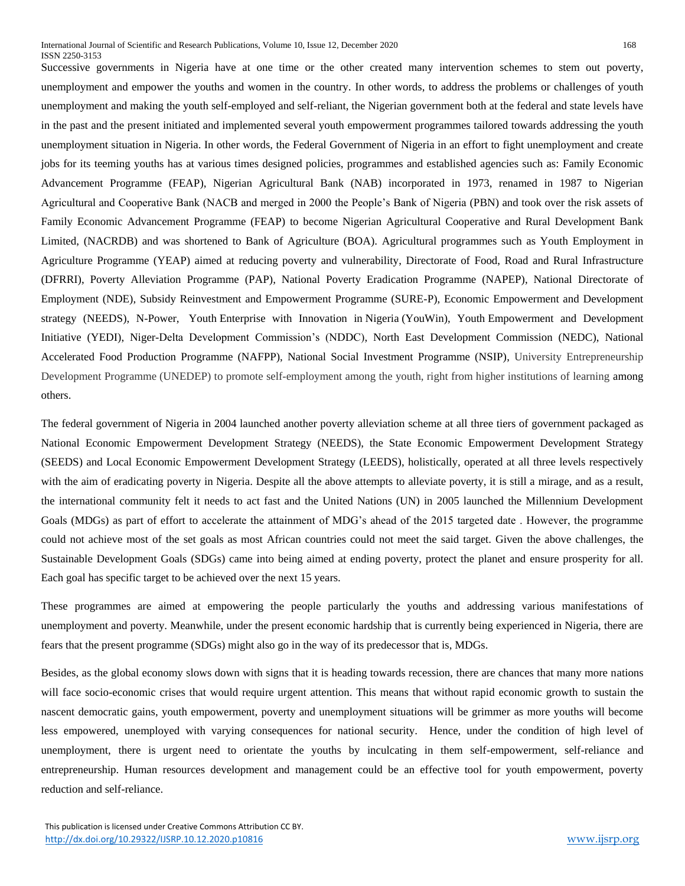Successive governments in Nigeria have at one time or the other created many intervention schemes to stem out poverty, unemployment and empower the youths and women in the country. In other words, to address the problems or challenges of youth unemployment and making the youth self-employed and self-reliant, the Nigerian government both at the federal and state levels have in the past and the present initiated and implemented several youth empowerment programmes tailored towards addressing the youth unemployment situation in Nigeria. In other words, the Federal Government of Nigeria in an effort to fight unemployment and create jobs for its teeming youths has at various times designed policies, programmes and established agencies such as: Family Economic Advancement Programme (FEAP), Nigerian Agricultural Bank (NAB) incorporated in 1973, renamed in 1987 to Nigerian Agricultural and Cooperative Bank (NACB and merged in 2000 the People's Bank of Nigeria (PBN) and took over the risk assets of Family Economic Advancement Programme (FEAP) to become Nigerian Agricultural Cooperative and Rural Development Bank Limited, (NACRDB) and was shortened to Bank of Agriculture (BOA). Agricultural programmes such as Youth Employment in Agriculture Programme (YEAP) aimed at reducing poverty and vulnerability, Directorate of Food, Road and Rural Infrastructure (DFRRI), Poverty Alleviation Programme (PAP), National Poverty Eradication Programme (NAPEP), National Directorate of Employment (NDE), Subsidy Reinvestment and Empowerment Programme (SURE-P), Economic Empowerment and Development strategy (NEEDS), N-Power, Youth Enterprise with Innovation in Nigeria (YouWin), Youth Empowerment and Development Initiative (YEDI), Niger-Delta Development Commission's (NDDC), North East Development Commission (NEDC), National Accelerated Food Production Programme (NAFPP), National Social Investment Programme (NSIP), University Entrepreneurship Development Programme (UNEDEP) to promote self-employment among the youth, right from higher institutions of learning among others.

The federal government of Nigeria in 2004 launched another poverty alleviation scheme at all three tiers of government packaged as National Economic Empowerment Development Strategy (NEEDS), the State Economic Empowerment Development Strategy (SEEDS) and Local Economic Empowerment Development Strategy (LEEDS), holistically, operated at all three levels respectively with the aim of eradicating poverty in Nigeria. Despite all the above attempts to alleviate poverty, it is still a mirage, and as a result, the international community felt it needs to act fast and the United Nations (UN) in 2005 launched the Millennium Development Goals (MDGs) as part of effort to accelerate the attainment of MDG's ahead of the 2015 targeted date . However, the programme could not achieve most of the set goals as most African countries could not meet the said target. Given the above challenges, the Sustainable Development Goals (SDGs) came into being aimed at ending poverty, protect the planet and ensure prosperity for all. Each goal has specific target to be achieved over the next 15 years.

These programmes are aimed at empowering the people particularly the youths and addressing various manifestations of unemployment and poverty. Meanwhile, under the present economic hardship that is currently being experienced in Nigeria, there are fears that the present programme (SDGs) might also go in the way of its predecessor that is, MDGs.

Besides, as the global economy slows down with signs that it is heading towards recession, there are chances that many more nations will face socio-economic crises that would require urgent attention. This means that without rapid economic growth to sustain the nascent democratic gains, youth empowerment, poverty and unemployment situations will be grimmer as more youths will become less empowered, unemployed with varying consequences for national security. Hence, under the condition of high level of unemployment, there is urgent need to orientate the youths by inculcating in them self-empowerment, self-reliance and entrepreneurship. Human resources development and management could be an effective tool for youth empowerment, poverty reduction and self-reliance.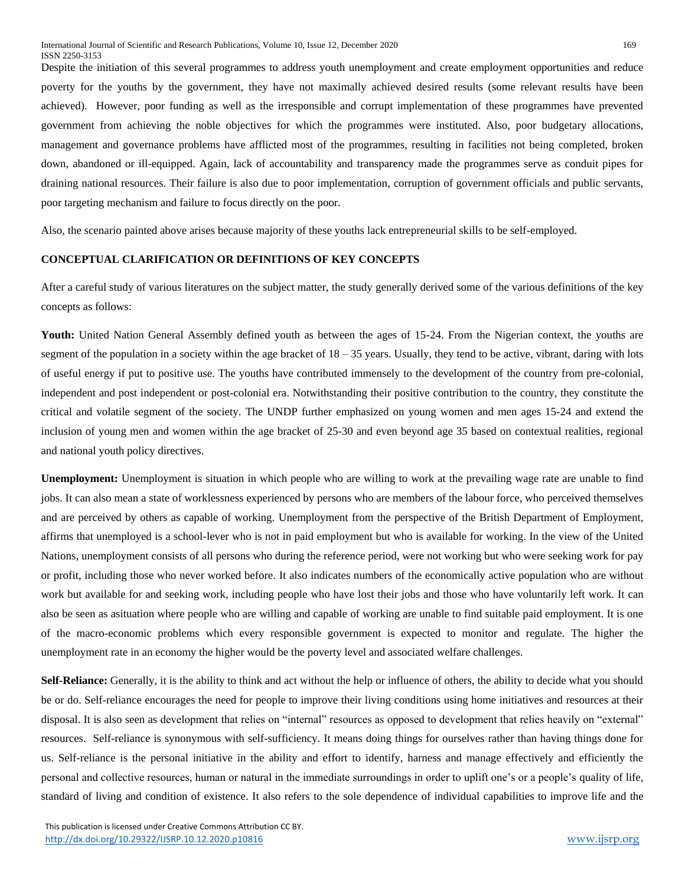Despite the initiation of this several programmes to address youth unemployment and create employment opportunities and reduce poverty for the youths by the government, they have not maximally achieved desired results (some relevant results have been achieved). However, poor funding as well as the irresponsible and corrupt implementation of these programmes have prevented government from achieving the noble objectives for which the programmes were instituted. Also, poor budgetary allocations, management and governance problems have afflicted most of the programmes, resulting in facilities not being completed, broken down, abandoned or ill-equipped. Again, lack of accountability and transparency made the programmes serve as conduit pipes for draining national resources. Their failure is also due to poor implementation, corruption of government officials and public servants, poor targeting mechanism and failure to focus directly on the poor.

Also, the scenario painted above arises because majority of these youths lack entrepreneurial skills to be self-employed.

### **CONCEPTUAL CLARIFICATION OR DEFINITIONS OF KEY CONCEPTS**

After a careful study of various literatures on the subject matter, the study generally derived some of the various definitions of the key concepts as follows:

Youth: United Nation General Assembly defined youth as between the ages of 15-24. From the Nigerian context, the youths are segment of the population in a society within the age bracket of  $18 - 35$  years. Usually, they tend to be active, vibrant, daring with lots of useful energy if put to positive use. The youths have contributed immensely to the development of the country from pre-colonial, independent and post independent or post-colonial era. Notwithstanding their positive contribution to the country, they constitute the critical and volatile segment of the society. The UNDP further emphasized on young women and men ages 15-24 and extend the inclusion of young men and women within the age bracket of 25-30 and even beyond age 35 based on contextual realities, regional and national youth policy directives.

**Unemployment:** Unemployment is situation in which people who are willing to work at the prevailing wage rate are unable to find jobs. It can also mean a state of worklessness experienced by persons who are members of the labour force, who perceived themselves and are perceived by others as capable of working. Unemployment from the perspective of the British Department of Employment, affirms that unemployed is a school-lever who is not in paid employment but who is available for working. In the view of the United Nations, unemployment consists of all persons who during the reference period, were not working but who were seeking work for pay or profit, including those who never worked before. It also indicates numbers of the economically active population who are without work but available for and seeking work, including people who have lost their jobs and those who have voluntarily left work. It can also be seen as asituation where people who are willing and capable of working are unable to find suitable paid employment. It is one of the macro-economic problems which every responsible government is expected to monitor and regulate. The higher the unemployment rate in an economy the higher would be the poverty level and associated welfare challenges.

**Self-Reliance:** Generally, it is the ability to think and act without the help or influence of others, the ability to decide what you should be or do. Self-reliance encourages the need for people to improve their living conditions using home initiatives and resources at their disposal. It is also seen as development that relies on "internal" resources as opposed to development that relies heavily on "external" resources. Self-reliance is synonymous with self-sufficiency. It means doing things for ourselves rather than having things done for us. Self-reliance is the personal initiative in the ability and effort to identify, harness and manage effectively and efficiently the personal and collective resources, human or natural in the immediate surroundings in order to uplift one's or a people's quality of life, standard of living and condition of existence. It also refers to the sole dependence of individual capabilities to improve life and the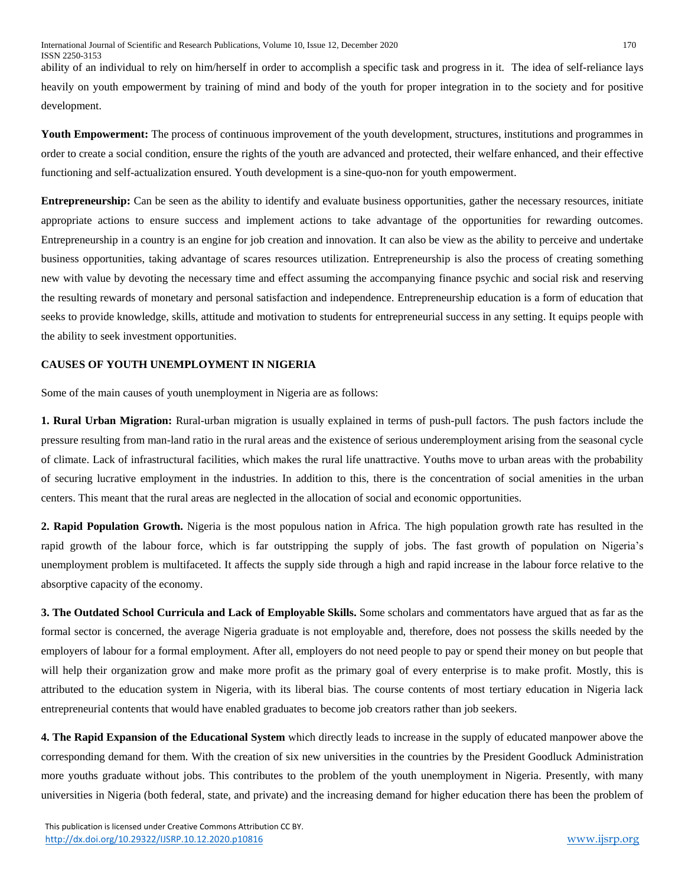ability of an individual to rely on him/herself in order to accomplish a specific task and progress in it. The idea of self-reliance lays heavily on youth empowerment by training of mind and body of the youth for proper integration in to the society and for positive development.

**Youth Empowerment:** The process of continuous improvement of the youth development, structures, institutions and programmes in order to create a social condition, ensure the rights of the youth are advanced and protected, their welfare enhanced, and their effective functioning and self-actualization ensured. Youth development is a sine-quo-non for youth empowerment.

**Entrepreneurship:** Can be seen as the ability to identify and evaluate business opportunities, gather the necessary resources, initiate appropriate actions to ensure success and implement actions to take advantage of the opportunities for rewarding outcomes. Entrepreneurship in a country is an engine for job creation and innovation. It can also be view as the ability to perceive and undertake business opportunities, taking advantage of scares resources utilization. Entrepreneurship is also the process of creating something new with value by devoting the necessary time and effect assuming the accompanying finance psychic and social risk and reserving the resulting rewards of monetary and personal satisfaction and independence. Entrepreneurship education is a form of education that seeks to provide knowledge, skills, attitude and motivation to students for entrepreneurial success in any setting. It equips people with the ability to seek investment opportunities.

#### **CAUSES OF YOUTH UNEMPLOYMENT IN NIGERIA**

Some of the main causes of youth unemployment in Nigeria are as follows:

**1. Rural Urban Migration:** Rural-urban migration is usually explained in terms of push-pull factors. The push factors include the pressure resulting from man-land ratio in the rural areas and the existence of serious underemployment arising from the seasonal cycle of climate. Lack of infrastructural facilities, which makes the rural life unattractive. Youths move to urban areas with the probability of securing lucrative employment in the industries. In addition to this, there is the concentration of social amenities in the urban centers. This meant that the rural areas are neglected in the allocation of social and economic opportunities.

**2. Rapid Population Growth.** Nigeria is the most populous nation in Africa. The high population growth rate has resulted in the rapid growth of the labour force, which is far outstripping the supply of jobs. The fast growth of population on Nigeria's unemployment problem is multifaceted. It affects the supply side through a high and rapid increase in the labour force relative to the absorptive capacity of the economy.

**3. The Outdated School Curricula and Lack of Employable Skills.** Some scholars and commentators have argued that as far as the formal sector is concerned, the average Nigeria graduate is not employable and, therefore, does not possess the skills needed by the employers of labour for a formal employment. After all, employers do not need people to pay or spend their money on but people that will help their organization grow and make more profit as the primary goal of every enterprise is to make profit. Mostly, this is attributed to the education system in Nigeria, with its liberal bias. The course contents of most tertiary education in Nigeria lack entrepreneurial contents that would have enabled graduates to become job creators rather than job seekers.

**4. The Rapid Expansion of the Educational System** which directly leads to increase in the supply of educated manpower above the corresponding demand for them. With the creation of six new universities in the countries by the President Goodluck Administration more youths graduate without jobs. This contributes to the problem of the youth unemployment in Nigeria. Presently, with many universities in Nigeria (both federal, state, and private) and the increasing demand for higher education there has been the problem of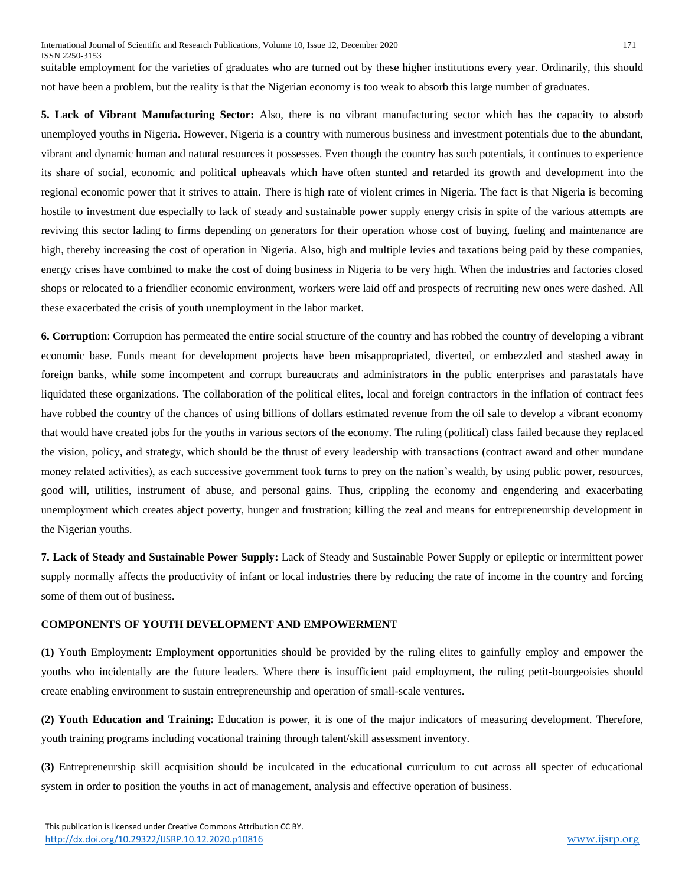suitable employment for the varieties of graduates who are turned out by these higher institutions every year. Ordinarily, this should not have been a problem, but the reality is that the Nigerian economy is too weak to absorb this large number of graduates.

**5. Lack of Vibrant Manufacturing Sector:** Also, there is no vibrant manufacturing sector which has the capacity to absorb unemployed youths in Nigeria. However, Nigeria is a country with numerous business and investment potentials due to the abundant, vibrant and dynamic human and natural resources it possesses. Even though the country has such potentials, it continues to experience its share of social, economic and political upheavals which have often stunted and retarded its growth and development into the regional economic power that it strives to attain. There is high rate of violent crimes in Nigeria. The fact is that Nigeria is becoming hostile to investment due especially to lack of steady and sustainable power supply energy crisis in spite of the various attempts are reviving this sector lading to firms depending on generators for their operation whose cost of buying, fueling and maintenance are high, thereby increasing the cost of operation in Nigeria. Also, high and multiple levies and taxations being paid by these companies, energy crises have combined to make the cost of doing business in Nigeria to be very high. When the industries and factories closed shops or relocated to a friendlier economic environment, workers were laid off and prospects of recruiting new ones were dashed. All these exacerbated the crisis of youth unemployment in the labor market.

**6. Corruption**: Corruption has permeated the entire social structure of the country and has robbed the country of developing a vibrant economic base. Funds meant for development projects have been misappropriated, diverted, or embezzled and stashed away in foreign banks, while some incompetent and corrupt bureaucrats and administrators in the public enterprises and parastatals have liquidated these organizations. The collaboration of the political elites, local and foreign contractors in the inflation of contract fees have robbed the country of the chances of using billions of dollars estimated revenue from the oil sale to develop a vibrant economy that would have created jobs for the youths in various sectors of the economy. The ruling (political) class failed because they replaced the vision, policy, and strategy, which should be the thrust of every leadership with transactions (contract award and other mundane money related activities), as each successive government took turns to prey on the nation's wealth, by using public power, resources, good will, utilities, instrument of abuse, and personal gains. Thus, crippling the economy and engendering and exacerbating unemployment which creates abject poverty, hunger and frustration; killing the zeal and means for entrepreneurship development in the Nigerian youths.

**7. Lack of Steady and Sustainable Power Supply:** Lack of Steady and Sustainable Power Supply or epileptic or intermittent power supply normally affects the productivity of infant or local industries there by reducing the rate of income in the country and forcing some of them out of business.

#### **COMPONENTS OF YOUTH DEVELOPMENT AND EMPOWERMENT**

**(1)** Youth Employment: Employment opportunities should be provided by the ruling elites to gainfully employ and empower the youths who incidentally are the future leaders. Where there is insufficient paid employment, the ruling petit-bourgeoisies should create enabling environment to sustain entrepreneurship and operation of small-scale ventures.

**(2) Youth Education and Training:** Education is power, it is one of the major indicators of measuring development. Therefore, youth training programs including vocational training through talent/skill assessment inventory.

**(3)** Entrepreneurship skill acquisition should be inculcated in the educational curriculum to cut across all specter of educational system in order to position the youths in act of management, analysis and effective operation of business.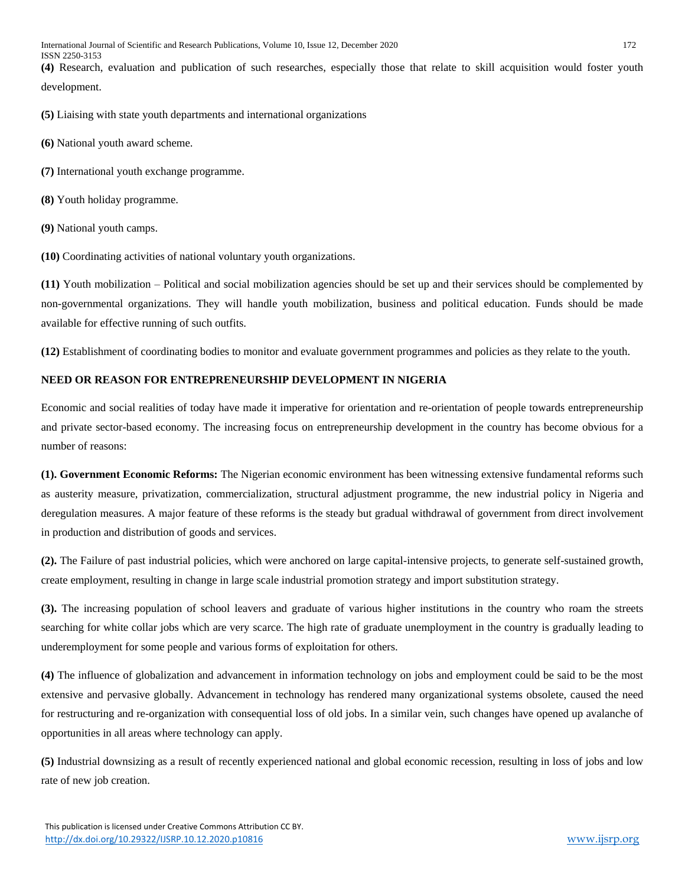**(4)** Research, evaluation and publication of such researches, especially those that relate to skill acquisition would foster youth development.

**(5)** Liaising with state youth departments and international organizations

- **(6)** National youth award scheme.
- **(7)** International youth exchange programme.
- **(8)** Youth holiday programme.
- **(9)** National youth camps.

**(10)** Coordinating activities of national voluntary youth organizations.

**(11)** Youth mobilization – Political and social mobilization agencies should be set up and their services should be complemented by non-governmental organizations. They will handle youth mobilization, business and political education. Funds should be made available for effective running of such outfits.

**(12)** Establishment of coordinating bodies to monitor and evaluate government programmes and policies as they relate to the youth.

# **NEED OR REASON FOR ENTREPRENEURSHIP DEVELOPMENT IN NIGERIA**

Economic and social realities of today have made it imperative for orientation and re-orientation of people towards entrepreneurship and private sector-based economy. The increasing focus on entrepreneurship development in the country has become obvious for a number of reasons:

**(1). Government Economic Reforms:** The Nigerian economic environment has been witnessing extensive fundamental reforms such as austerity measure, privatization, commercialization, structural adjustment programme, the new industrial policy in Nigeria and deregulation measures. A major feature of these reforms is the steady but gradual withdrawal of government from direct involvement in production and distribution of goods and services.

**(2).** The Failure of past industrial policies, which were anchored on large capital-intensive projects, to generate self-sustained growth, create employment, resulting in change in large scale industrial promotion strategy and import substitution strategy.

**(3).** The increasing population of school leavers and graduate of various higher institutions in the country who roam the streets searching for white collar jobs which are very scarce. The high rate of graduate unemployment in the country is gradually leading to underemployment for some people and various forms of exploitation for others.

**(4)** The influence of globalization and advancement in information technology on jobs and employment could be said to be the most extensive and pervasive globally. Advancement in technology has rendered many organizational systems obsolete, caused the need for restructuring and re-organization with consequential loss of old jobs. In a similar vein, such changes have opened up avalanche of opportunities in all areas where technology can apply.

**(5)** Industrial downsizing as a result of recently experienced national and global economic recession, resulting in loss of jobs and low rate of new job creation.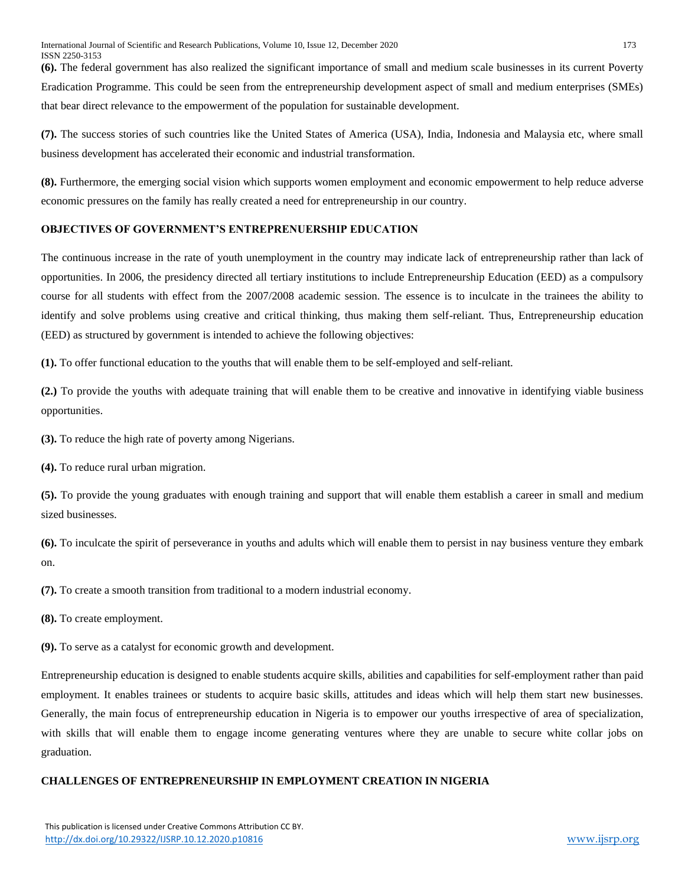**(6).** The federal government has also realized the significant importance of small and medium scale businesses in its current Poverty Eradication Programme. This could be seen from the entrepreneurship development aspect of small and medium enterprises (SMEs) that bear direct relevance to the empowerment of the population for sustainable development.

**(7).** The success stories of such countries like the United States of America (USA), India, Indonesia and Malaysia etc, where small business development has accelerated their economic and industrial transformation.

**(8).** Furthermore, the emerging social vision which supports women employment and economic empowerment to help reduce adverse economic pressures on the family has really created a need for entrepreneurship in our country.

#### **OBJECTIVES OF GOVERNMENT'S ENTREPRENUERSHIP EDUCATION**

The continuous increase in the rate of youth unemployment in the country may indicate lack of entrepreneurship rather than lack of opportunities. In 2006, the presidency directed all tertiary institutions to include Entrepreneurship Education (EED) as a compulsory course for all students with effect from the 2007/2008 academic session. The essence is to inculcate in the trainees the ability to identify and solve problems using creative and critical thinking, thus making them self-reliant. Thus, Entrepreneurship education (EED) as structured by government is intended to achieve the following objectives:

**(1).** To offer functional education to the youths that will enable them to be self-employed and self-reliant.

**(2.)** To provide the youths with adequate training that will enable them to be creative and innovative in identifying viable business opportunities.

**(3).** To reduce the high rate of poverty among Nigerians.

**(4).** To reduce rural urban migration.

**(5).** To provide the young graduates with enough training and support that will enable them establish a career in small and medium sized businesses.

**(6).** To inculcate the spirit of perseverance in youths and adults which will enable them to persist in nay business venture they embark on.

**(7).** To create a smooth transition from traditional to a modern industrial economy.

**(8).** To create employment.

**(9).** To serve as a catalyst for economic growth and development.

Entrepreneurship education is designed to enable students acquire skills, abilities and capabilities for self-employment rather than paid employment. It enables trainees or students to acquire basic skills, attitudes and ideas which will help them start new businesses. Generally, the main focus of entrepreneurship education in Nigeria is to empower our youths irrespective of area of specialization, with skills that will enable them to engage income generating ventures where they are unable to secure white collar jobs on graduation.

#### **CHALLENGES OF ENTREPRENEURSHIP IN EMPLOYMENT CREATION IN NIGERIA**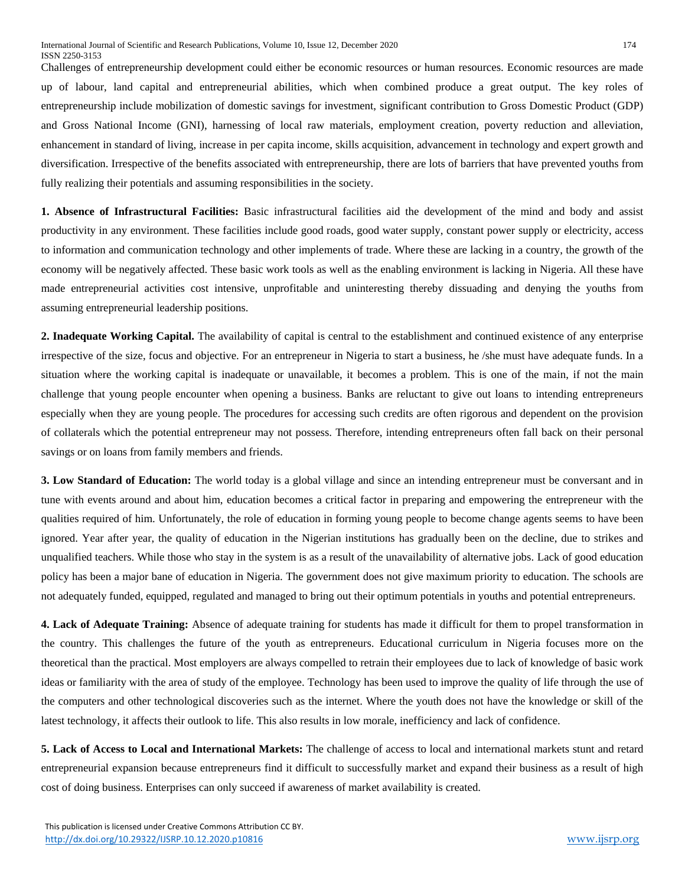Challenges of entrepreneurship development could either be economic resources or human resources. Economic resources are made up of labour, land capital and entrepreneurial abilities, which when combined produce a great output. The key roles of entrepreneurship include mobilization of domestic savings for investment, significant contribution to Gross Domestic Product (GDP) and Gross National Income (GNI), harnessing of local raw materials, employment creation, poverty reduction and alleviation, enhancement in standard of living, increase in per capita income, skills acquisition, advancement in technology and expert growth and diversification. Irrespective of the benefits associated with entrepreneurship, there are lots of barriers that have prevented youths from fully realizing their potentials and assuming responsibilities in the society.

**1. Absence of Infrastructural Facilities:** Basic infrastructural facilities aid the development of the mind and body and assist productivity in any environment. These facilities include good roads, good water supply, constant power supply or electricity, access to information and communication technology and other implements of trade. Where these are lacking in a country, the growth of the economy will be negatively affected. These basic work tools as well as the enabling environment is lacking in Nigeria. All these have made entrepreneurial activities cost intensive, unprofitable and uninteresting thereby dissuading and denying the youths from assuming entrepreneurial leadership positions.

**2. Inadequate Working Capital.** The availability of capital is central to the establishment and continued existence of any enterprise irrespective of the size, focus and objective. For an entrepreneur in Nigeria to start a business, he /she must have adequate funds. In a situation where the working capital is inadequate or unavailable, it becomes a problem. This is one of the main, if not the main challenge that young people encounter when opening a business. Banks are reluctant to give out loans to intending entrepreneurs especially when they are young people. The procedures for accessing such credits are often rigorous and dependent on the provision of collaterals which the potential entrepreneur may not possess. Therefore, intending entrepreneurs often fall back on their personal savings or on loans from family members and friends.

**3. Low Standard of Education:** The world today is a global village and since an intending entrepreneur must be conversant and in tune with events around and about him, education becomes a critical factor in preparing and empowering the entrepreneur with the qualities required of him. Unfortunately, the role of education in forming young people to become change agents seems to have been ignored. Year after year, the quality of education in the Nigerian institutions has gradually been on the decline, due to strikes and unqualified teachers. While those who stay in the system is as a result of the unavailability of alternative jobs. Lack of good education policy has been a major bane of education in Nigeria. The government does not give maximum priority to education. The schools are not adequately funded, equipped, regulated and managed to bring out their optimum potentials in youths and potential entrepreneurs.

**4. Lack of Adequate Training:** Absence of adequate training for students has made it difficult for them to propel transformation in the country. This challenges the future of the youth as entrepreneurs. Educational curriculum in Nigeria focuses more on the theoretical than the practical. Most employers are always compelled to retrain their employees due to lack of knowledge of basic work ideas or familiarity with the area of study of the employee. Technology has been used to improve the quality of life through the use of the computers and other technological discoveries such as the internet. Where the youth does not have the knowledge or skill of the latest technology, it affects their outlook to life. This also results in low morale, inefficiency and lack of confidence.

**5. Lack of Access to Local and International Markets:** The challenge of access to local and international markets stunt and retard entrepreneurial expansion because entrepreneurs find it difficult to successfully market and expand their business as a result of high cost of doing business. Enterprises can only succeed if awareness of market availability is created.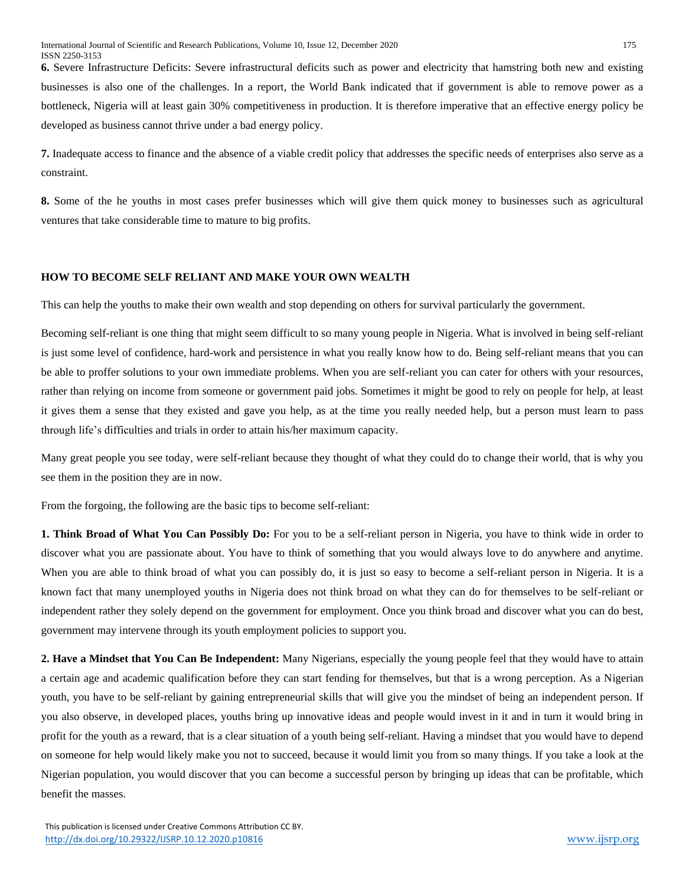**6.** Severe Infrastructure Deficits: Severe infrastructural deficits such as power and electricity that hamstring both new and existing businesses is also one of the challenges. In a report, the World Bank indicated that if government is able to remove power as a bottleneck, Nigeria will at least gain 30% competitiveness in production. It is therefore imperative that an effective energy policy be developed as business cannot thrive under a bad energy policy.

**7.** Inadequate access to finance and the absence of a viable credit policy that addresses the specific needs of enterprises also serve as a constraint.

**8.** Some of the he youths in most cases prefer businesses which will give them quick money to businesses such as agricultural ventures that take considerable time to mature to big profits.

### **HOW TO BECOME SELF RELIANT AND MAKE YOUR OWN WEALTH**

This can help the youths to make their own wealth and stop depending on others for survival particularly the government.

Becoming self-reliant is one thing that might seem difficult to so many young people in Nigeria. What is involved in being self-reliant is just some level of confidence, hard-work and persistence in what you really know how to do. Being self-reliant means that you can be able to proffer solutions to your own immediate problems. When you are self-reliant you can cater for others with your resources, rather than relying on income from someone or government paid jobs. Sometimes it might be good to rely on people for help, at least it gives them a sense that they existed and gave you help, as at the time you really needed help, but a person must learn to pass through life's difficulties and trials in order to attain his/her maximum capacity.

Many great people you see today, were self-reliant because they thought of what they could do to change their world, that is why you see them in the position they are in now.

From the forgoing, the following are the basic tips to become self-reliant:

**1. Think Broad of What You Can Possibly Do:** For you to be a self-reliant person in Nigeria, you have to think wide in order to discover what you are passionate about. You have to think of something that you would always love to do anywhere and anytime. When you are able to think broad of what you can possibly do, it is just so easy to become a self-reliant person in Nigeria. It is a known fact that many unemployed youths in Nigeria does not think broad on what they can do for themselves to be self-reliant or independent rather they solely depend on the government for employment. Once you think broad and discover what you can do best, government may intervene through its youth employment policies to support you.

**2. Have a Mindset that You Can Be Independent:** Many Nigerians, especially the young people feel that they would have to attain a certain age and academic qualification before they can start fending for themselves, but that is a wrong perception. As a Nigerian youth, you have to be self-reliant by gaining entrepreneurial skills that will give you the mindset of being an independent person. If you also observe, in developed places, youths bring up innovative ideas and people would invest in it and in turn it would bring in profit for the youth as a reward, that is a clear situation of a youth being self-reliant. Having a mindset that you would have to depend on someone for help would likely make you not to succeed, because it would limit you from so many things. If you take a look at the Nigerian population, you would discover that you can become a successful person by bringing up ideas that can be profitable, which benefit the masses.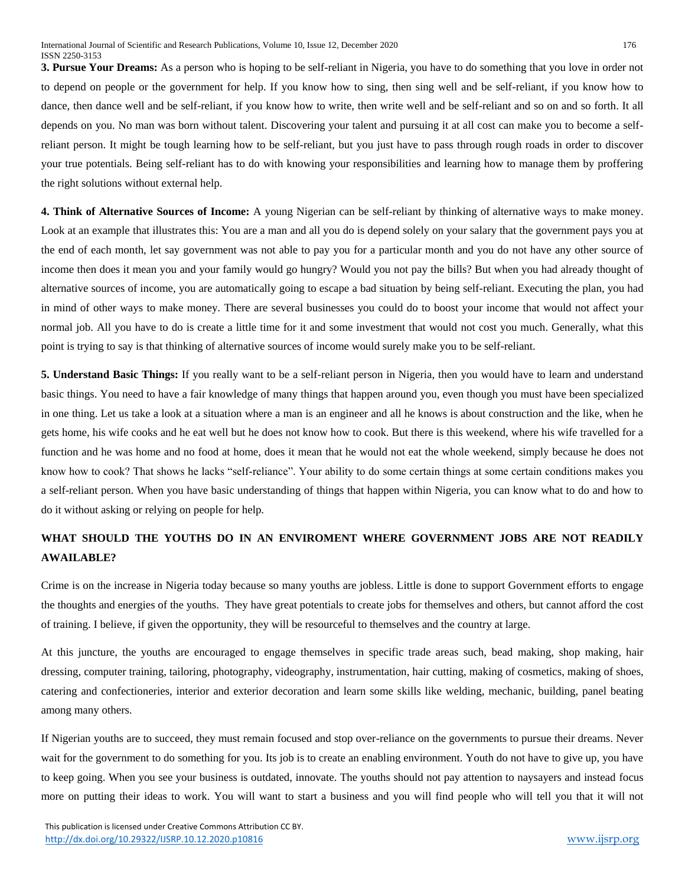**3. Pursue Your Dreams:** As a person who is hoping to be self-reliant in Nigeria, you have to do something that you love in order not to depend on people or the government for help. If you know how to sing, then sing well and be self-reliant, if you know how to dance, then dance well and be self-reliant, if you know how to write, then write well and be self-reliant and so on and so forth. It all depends on you. No man was born without talent. Discovering your talent and pursuing it at all cost can make you to become a selfreliant person. It might be tough learning how to be self-reliant, but you just have to pass through rough roads in order to discover your true potentials. Being self-reliant has to do with knowing your responsibilities and learning how to manage them by proffering the right solutions without external help.

**4. Think of Alternative Sources of Income:** A young Nigerian can be self-reliant by thinking of [alternative](http://makemoneyonline.com.ng/) ways to make money. Look at an example that illustrates this: You are a man and all you do is depend solely on your salary that the government pays you at the end of each month, let say government was not able to pay you for a particular month and you do not have any other source of income then does it mean you and your family would go hungry? Would you not pay the bills? But when you had already thought of alternative sources of income, you are automatically going to escape a bad situation by being self-reliant. Executing the plan, you had in mind of other ways to make money. There are several businesses you could do to boost your income that would not affect your normal job. All you have to do is create a little time for it and some investment that would not cost you much. Generally, what this point is trying to say is that thinking of alternative sources of income would surely make you to be self-reliant.

**5. Understand Basic Things:** If you really want to be a self-reliant person in Nigeria, then you would have to learn and understand basic things. You need to have a fair knowledge of many things that happen around you, even though you must have been specialized in one thing. Let us take a look at a situation where a man is an engineer and all he knows is about construction and the like, when he gets home, his wife cooks and he eat well but he does not know how to cook. But there is this weekend, where his wife travelled for a function and he was home and no food at home, does it mean that he would not eat the whole weekend, simply because he does not know how to cook? That shows he lacks "self-reliance". Your ability to do some certain things at some certain conditions makes you a self-reliant person. When you have basic understanding of things that happen within Nigeria, you can know what to do and how to do it without asking or relying on people for help.

# **WHAT SHOULD THE YOUTHS DO IN AN ENVIROMENT WHERE GOVERNMENT JOBS ARE NOT READILY AWAILABLE?**

Crime is on the increase in Nigeria today because so many youths are jobless. Little is done to support Government efforts to engage the thoughts and energies of the youths. They have great potentials to create jobs for themselves and others, but cannot afford the cost of training. I believe, if given the opportunity, they will be resourceful to themselves and the country at large.

At this juncture, the youths are encouraged to engage themselves in specific trade areas such, bead making, shop making, hair dressing, computer training, tailoring, photography, videography, instrumentation, hair cutting, making of cosmetics, making of shoes, catering and confectioneries, interior and exterior decoration and learn some skills like welding, mechanic, building, panel beating among many others.

If Nigerian youths are to succeed, they must remain focused and stop over-reliance on the governments to pursue their dreams. Never wait for the government to do something for you. Its job is to create an enabling environment. Youth do not have to give up, you have to keep going. When you see your business is outdated, innovate. The youths should not pay attention to naysayers and instead focus more on putting their ideas to work. You will want to start a business and you will find people who will tell you that it will not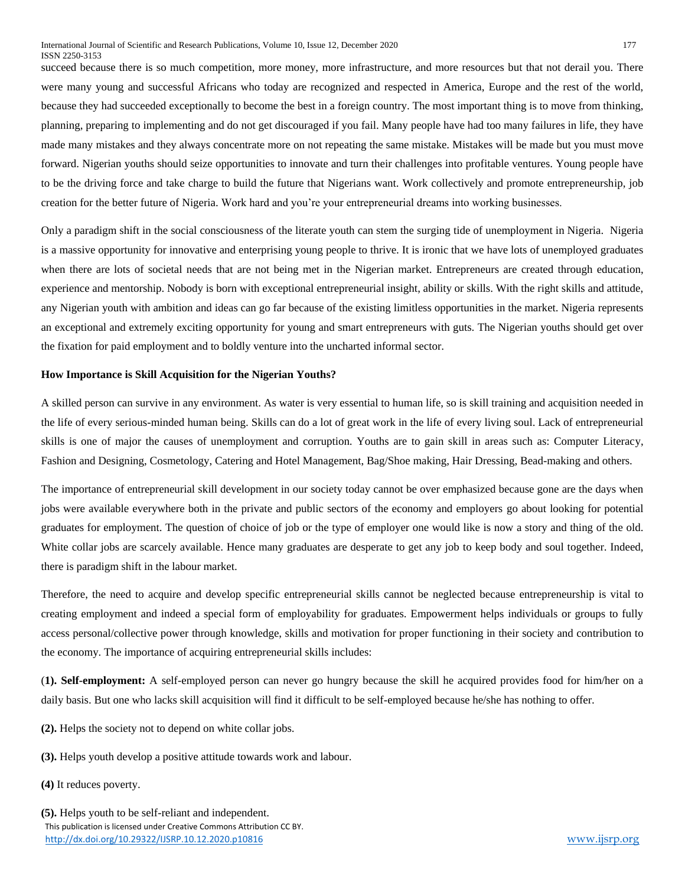succeed because there is so much competition, more money, more infrastructure, and more resources but that not derail you. There were many young and successful Africans who today are recognized and respected in America, Europe and the rest of the world, because they had succeeded exceptionally to become the best in a foreign country. The most important thing is to move from thinking, planning, preparing to implementing and do not get discouraged if you fail. Many people have had too many failures in life, they have made many mistakes and they always concentrate more on not repeating the same mistake. Mistakes will be made but you must move forward. Nigerian youths should seize opportunities to innovate and turn their challenges into profitable ventures. Young people have to be the driving force and take charge to build the future that Nigerians want. Work collectively and promote entrepreneurship, job creation for the better future of Nigeria. Work hard and you're your entrepreneurial dreams into working businesses.

Only a paradigm shift in the social consciousness of the literate youth can stem the surging tide of unemployment in Nigeria. Nigeria is a massive opportunity for innovative and enterprising young people to thrive. It is ironic that we have lots of unemployed graduates when there are lots of societal needs that are not being met in the Nigerian market. Entrepreneurs are created through education, experience and mentorship. Nobody is born with exceptional entrepreneurial insight, ability or skills. With the right skills and attitude, any Nigerian youth with ambition and ideas can go far because of the existing limitless opportunities in the market. Nigeria represents an exceptional and extremely exciting opportunity for young and smart entrepreneurs with guts. The Nigerian youths should get over the fixation for paid employment and to boldly venture into the uncharted informal sector.

#### **How Importance is Skill Acquisition for the Nigerian Youths?**

A skilled person can survive in any environment. As water is very essential to human life, so is skill training and acquisition needed in the life of every serious-minded human being. Skills can do a lot of great work in the life of every living soul. Lack of entrepreneurial skills is one of major the causes of unemployment and corruption. Youths are to gain skill in areas such as: Computer Literacy, Fashion and Designing, Cosmetology, Catering and Hotel Management, Bag/Shoe making, Hair Dressing, Bead-making and others.

The importance of entrepreneurial skill development in our society today cannot be over emphasized because gone are the days when jobs were available everywhere both in the private and public sectors of the economy and employers go about looking for potential graduates for employment. The question of choice of job or the type of employer one would like is now a story and thing of the old. White collar jobs are scarcely available. Hence many graduates are desperate to get any job to keep body and soul together. Indeed, there is paradigm shift in the labour market.

Therefore, the need to acquire and develop specific entrepreneurial skills cannot be neglected because entrepreneurship is vital to creating employment and indeed a special form of employability for graduates. Empowerment helps individuals or groups to fully access personal/collective power through knowledge, skills and motivation for proper functioning in their society and contribution to the economy. The importance of acquiring entrepreneurial skills includes:

(**1). Self-employment:** A self-employed person can never go hungry because the skill he acquired provides food for him/her on a daily basis. But one who lacks skill acquisition will find it difficult to be self-employed because he/she has nothing to offer.

**(2).** Helps the society not to depend on white collar jobs.

**(3).** Helps youth develop a positive attitude towards work and labour.

**(4)** It reduces poverty.

 This publication is licensed under Creative Commons Attribution CC BY. <http://dx.doi.org/10.29322/IJSRP.10.12.2020.p10816> [www.ijsrp.org](http://ijsrp.org/) **(5).** Helps youth to be self-reliant and independent.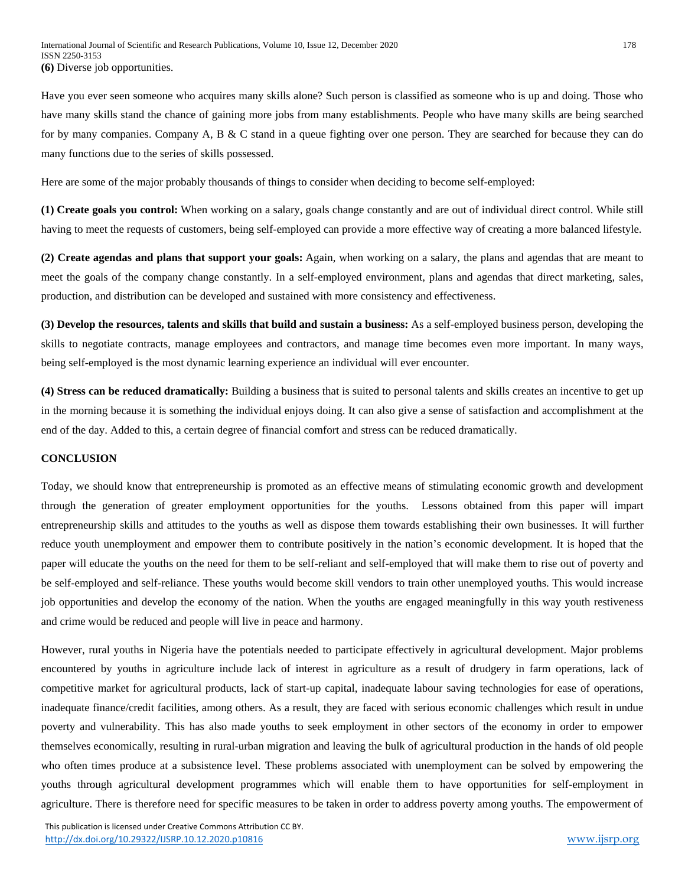Have you ever seen someone who acquires many skills alone? Such person is classified as someone who is up and doing. Those who have many skills stand the chance of gaining more jobs from many establishments. People who have many skills are being searched for by many companies. Company A, B & C stand in a queue fighting over one person. They are searched for because they can do many functions due to the series of skills possessed.

Here are some of the major probably thousands of things to consider when deciding to become self-employed:

**(1) Create goals you control:** When working on a salary, goals change constantly and are out of individual direct control. While still having to meet the requests of customers, being self-employed can provide a more effective way of creating a more balanced lifestyle.

**(2) Create agendas and plans that support your goals:** Again, when working on a salary, the plans and agendas that are meant to meet the goals of the company change constantly. In a self-employed environment, plans and agendas that direct marketing, sales, production, and distribution can be developed and sustained with more consistency and effectiveness.

**(3) Develop the resources, talents and skills that build and sustain a business:** As a self-employed business person, developing the skills to negotiate contracts, manage employees and contractors, and manage time becomes even more important. In many ways, being self-employed is the most dynamic learning experience an individual will ever encounter.

**(4) Stress can be reduced dramatically:** Building a business that is suited to personal talents and skills creates an incentive to get up in the morning because it is something the individual enjoys doing. It can also give a sense of satisfaction and accomplishment at the end of the day. Added to this, a certain degree of financial comfort and stress can be reduced dramatically.

#### **CONCLUSION**

Today, we should know that entrepreneurship is promoted as an effective means of stimulating economic growth and development through the generation of greater employment opportunities for the youths. Lessons obtained from this paper will impart entrepreneurship skills and attitudes to the youths as well as dispose them towards establishing their own businesses. It will further reduce youth unemployment and empower them to contribute positively in the nation's economic development. It is hoped that the paper will educate the youths on the need for them to be self-reliant and self-employed that will make them to rise out of poverty and be self-employed and self-reliance. These youths would become skill vendors to train other unemployed youths. This would increase job opportunities and develop the economy of the nation. When the youths are engaged meaningfully in this way youth restiveness and crime would be reduced and people will live in peace and harmony.

However, rural youths in Nigeria have the potentials needed to participate effectively in agricultural development. Major problems encountered by youths in agriculture include lack of interest in agriculture as a result of drudgery in farm operations, lack of competitive market for agricultural products, lack of start-up capital, inadequate labour saving technologies for ease of operations, inadequate finance/credit facilities, among others. As a result, they are faced with serious economic challenges which result in undue poverty and vulnerability. This has also made youths to seek employment in other sectors of the economy in order to empower themselves economically, resulting in rural-urban migration and leaving the bulk of agricultural production in the hands of old people who often times produce at a subsistence level. These problems associated with unemployment can be solved by empowering the youths through agricultural development programmes which will enable them to have opportunities for self-employment in agriculture. There is therefore need for specific measures to be taken in order to address poverty among youths. The empowerment of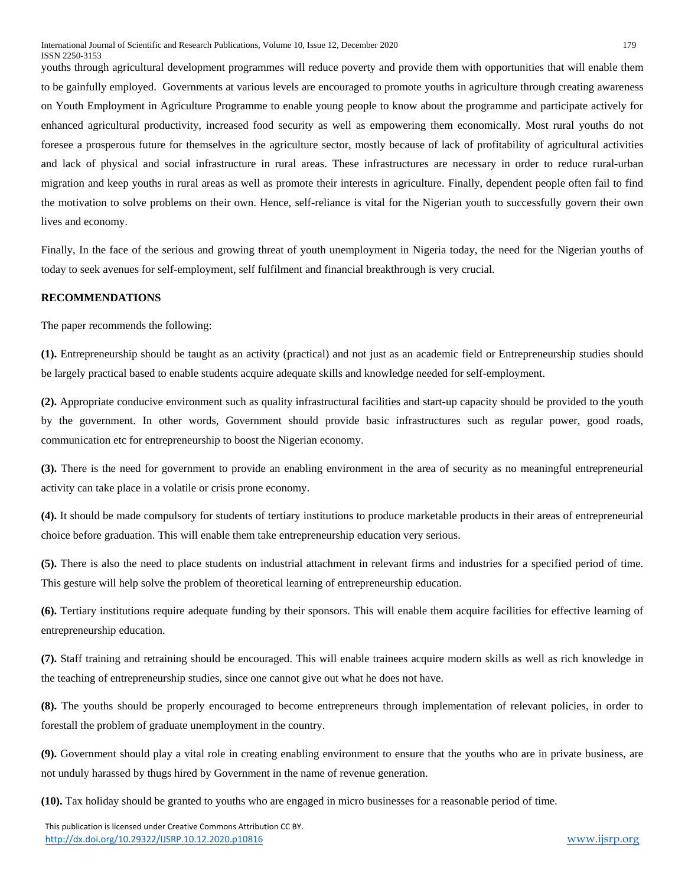youths through agricultural development programmes will reduce poverty and provide them with opportunities that will enable them to be gainfully employed. Governments at various levels are encouraged to promote youths in agriculture through creating awareness on Youth Employment in Agriculture Programme to enable young people to know about the programme and participate actively for enhanced agricultural productivity, increased food security as well as empowering them economically. Most rural youths do not foresee a prosperous future for themselves in the agriculture sector, mostly because of lack of profitability of agricultural activities and lack of physical and social infrastructure in rural areas. These infrastructures are necessary in order to reduce rural-urban migration and keep youths in rural areas as well as promote their interests in agriculture. Finally, dependent people often fail to find the motivation to solve problems on their own. Hence, self-reliance is vital for the Nigerian youth to successfully govern their own lives and economy.

Finally, In the face of the serious and growing threat of youth unemployment in Nigeria today, the need for the Nigerian youths of today to seek avenues for self-employment, self fulfilment and financial breakthrough is very crucial.

#### **RECOMMENDATIONS**

The paper recommends the following:

**(1).** Entrepreneurship should be taught as an activity (practical) and not just as an academic field or Entrepreneurship studies should be largely practical based to enable students acquire adequate skills and knowledge needed for self-employment.

**(2).** Appropriate conducive environment such as quality infrastructural facilities and start-up capacity should be provided to the youth by the government. In other words, Government should provide basic infrastructures such as regular power, good roads, communication etc for entrepreneurship to boost the Nigerian economy.

**(3).** There is the need for government to provide an enabling environment in the area of security as no meaningful entrepreneurial activity can take place in a volatile or crisis prone economy.

**(4).** It should be made compulsory for students of tertiary institutions to produce marketable products in their areas of entrepreneurial choice before graduation. This will enable them take entrepreneurship education very serious.

**(5).** There is also the need to place students on industrial attachment in relevant firms and industries for a specified period of time. This gesture will help solve the problem of theoretical learning of entrepreneurship education.

**(6).** Tertiary institutions require adequate funding by their sponsors. This will enable them acquire facilities for effective learning of entrepreneurship education.

**(7).** Staff training and retraining should be encouraged. This will enable trainees acquire modern skills as well as rich knowledge in the teaching of entrepreneurship studies, since one cannot give out what he does not have.

**(8).** The youths should be properly encouraged to become entrepreneurs through implementation of relevant policies, in order to forestall the problem of graduate unemployment in the country.

**(9).** Government should play a vital role in creating enabling environment to ensure that the youths who are in private business, are not unduly harassed by thugs hired by Government in the name of revenue generation.

**(10).** Tax holiday should be granted to youths who are engaged in micro businesses for a reasonable period of time.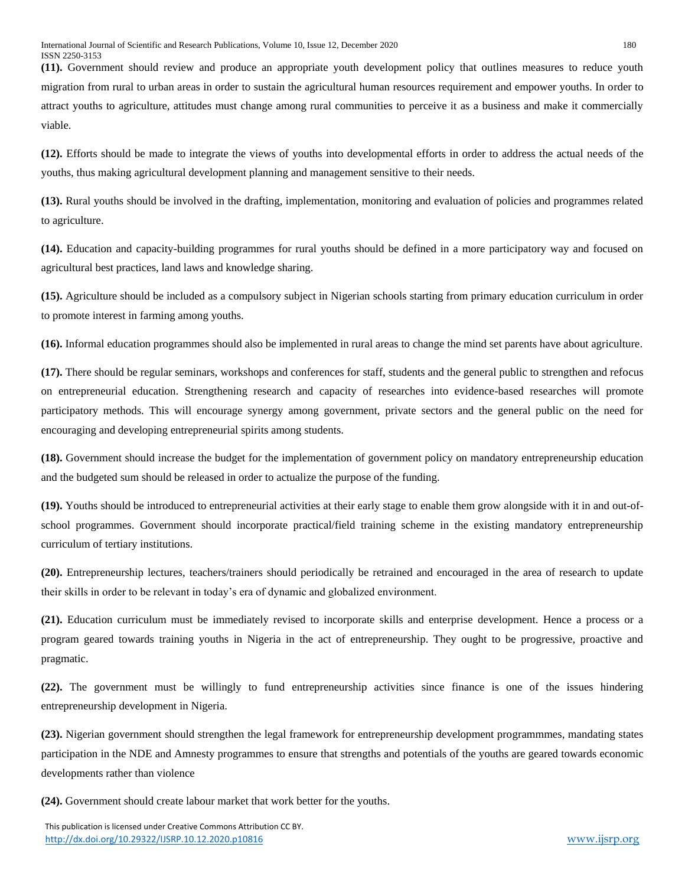**(11).** Government should review and produce an appropriate youth development policy that outlines measures to reduce youth migration from rural to urban areas in order to sustain the agricultural human resources requirement and empower youths. In order to attract youths to agriculture, attitudes must change among rural communities to perceive it as a business and make it commercially viable.

**(12).** Efforts should be made to integrate the views of youths into developmental efforts in order to address the actual needs of the youths, thus making agricultural development planning and management sensitive to their needs.

**(13).** Rural youths should be involved in the drafting, implementation, monitoring and evaluation of policies and programmes related to agriculture.

**(14).** Education and capacity-building programmes for rural youths should be defined in a more participatory way and focused on agricultural best practices, land laws and knowledge sharing.

**(15).** Agriculture should be included as a compulsory subject in Nigerian schools starting from primary education curriculum in order to promote interest in farming among youths.

**(16).** Informal education programmes should also be implemented in rural areas to change the mind set parents have about agriculture.

**(17).** There should be regular seminars, workshops and conferences for staff, students and the general public to strengthen and refocus on entrepreneurial education. Strengthening research and capacity of researches into evidence-based researches will promote participatory methods. This will encourage synergy among government, private sectors and the general public on the need for encouraging and developing entrepreneurial spirits among students.

**(18).** Government should increase the budget for the implementation of government policy on mandatory entrepreneurship education and the budgeted sum should be released in order to actualize the purpose of the funding.

**(19).** Youths should be introduced to entrepreneurial activities at their early stage to enable them grow alongside with it in and out-ofschool programmes. Government should incorporate practical/field training scheme in the existing mandatory entrepreneurship curriculum of tertiary institutions.

**(20).** Entrepreneurship lectures, teachers/trainers should periodically be retrained and encouraged in the area of research to update their skills in order to be relevant in today's era of dynamic and globalized environment.

**(21).** Education curriculum must be immediately revised to incorporate skills and enterprise development. Hence a process or a program geared towards training youths in Nigeria in the act of entrepreneurship. They ought to be progressive, proactive and pragmatic.

**(22).** The government must be willingly to fund entrepreneurship activities since finance is one of the issues hindering entrepreneurship development in Nigeria.

**(23).** Nigerian government should strengthen the legal framework for entrepreneurship development programmmes, mandating states participation in the NDE and Amnesty programmes to ensure that strengths and potentials of the youths are geared towards economic developments rather than violence

**(24).** Government should create labour market that work better for the youths.